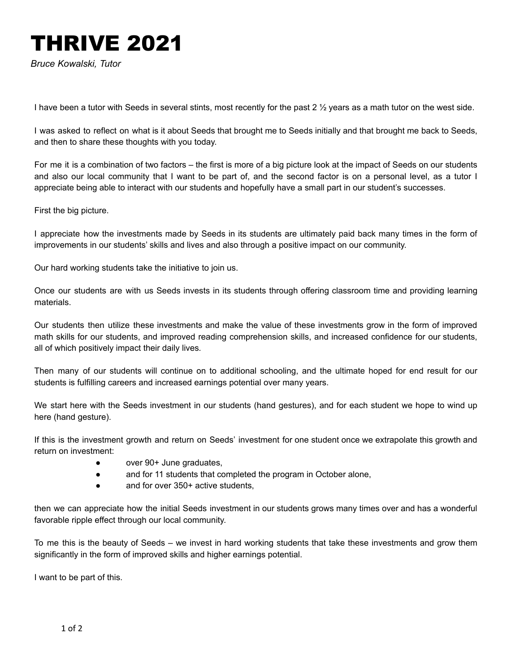## THRIVE 2021

*Bruce Kowalski, Tutor*

I have been a tutor with Seeds in several stints, most recently for the past 2  $\frac{1}{2}$  years as a math tutor on the west side.

I was asked to reflect on what is it about Seeds that brought me to Seeds initially and that brought me back to Seeds, and then to share these thoughts with you today.

For me it is a combination of two factors – the first is more of a big picture look at the impact of Seeds on our students and also our local community that I want to be part of, and the second factor is on a personal level, as a tutor I appreciate being able to interact with our students and hopefully have a small part in our student's successes.

First the big picture.

I appreciate how the investments made by Seeds in its students are ultimately paid back many times in the form of improvements in our students' skills and lives and also through a positive impact on our community.

Our hard working students take the initiative to join us.

Once our students are with us Seeds invests in its students through offering classroom time and providing learning materials.

Our students then utilize these investments and make the value of these investments grow in the form of improved math skills for our students, and improved reading comprehension skills, and increased confidence for our students, all of which positively impact their daily lives*.*

Then many of our students will continue on to additional schooling, and the ultimate hoped for end result for our students is fulfilling careers and increased earnings potential over many years.

We start here with the Seeds investment in our students (hand gestures), and for each student we hope to wind up here (hand gesture).

If this is the investment growth and return on Seeds' investment for one student once we extrapolate this growth and return on investment:

- over 90+ June graduates,
- and for 11 students that completed the program in October alone,
- and for over 350+ active students,

then we can appreciate how the initial Seeds investment in our students grows many times over and has a wonderful favorable ripple effect through our local community.

To me this is the beauty of Seeds – we invest in hard working students that take these investments and grow them significantly in the form of improved skills and higher earnings potential.

I want to be part of this.